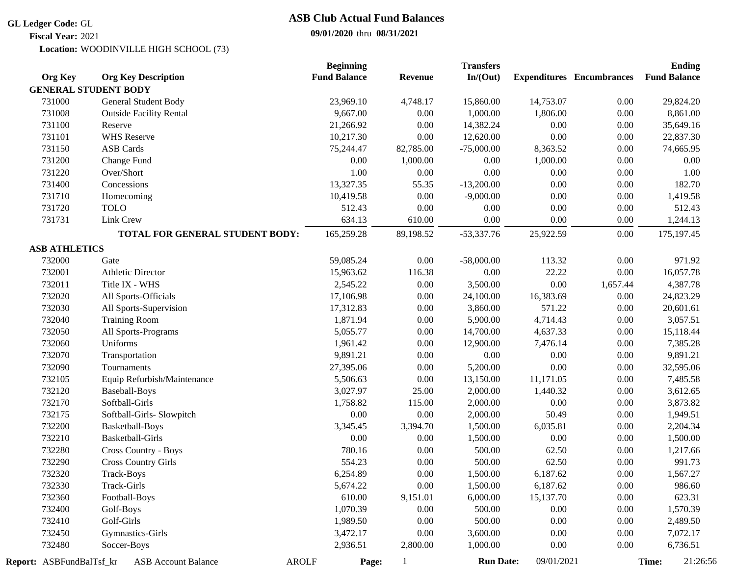#### **GL Ledger Code:** GL

**Fiscal Year:** 2021

# **ASB Club Actual Fund Balances**

## **09/01/2020** thru **08/31/2021**

WOODINVILLE HIGH SCHOOL (73) **Location:**

|                          |                                            | <b>Beginning</b>    |                | <b>Transfers</b> |            |                                  | <b>Ending</b>       |
|--------------------------|--------------------------------------------|---------------------|----------------|------------------|------------|----------------------------------|---------------------|
| <b>Org Key</b>           | <b>Org Key Description</b>                 | <b>Fund Balance</b> | <b>Revenue</b> | In/(Out)         |            | <b>Expenditures</b> Encumbrances | <b>Fund Balance</b> |
|                          | <b>GENERAL STUDENT BODY</b>                |                     |                |                  |            |                                  |                     |
| 731000                   | General Student Body                       | 23,969.10           | 4,748.17       | 15,860.00        | 14,753.07  | 0.00                             | 29,824.20           |
| 731008                   | <b>Outside Facility Rental</b>             | 9,667.00            | 0.00           | 1,000.00         | 1,806.00   | $0.00\,$                         | 8,861.00            |
| 731100                   | Reserve                                    | 21,266.92           | 0.00           | 14,382.24        | 0.00       | 0.00                             | 35,649.16           |
| 731101                   | <b>WHS</b> Reserve                         | 10,217.30           | 0.00           | 12,620.00        | $0.00\,$   | 0.00                             | 22,837.30           |
| 731150                   | <b>ASB Cards</b>                           | 75,244.47           | 82,785.00      | $-75,000.00$     | 8,363.52   | $0.00\,$                         | 74,665.95           |
| 731200                   | Change Fund                                | 0.00                | 1,000.00       | 0.00             | 1,000.00   | $0.00\,$                         | 0.00                |
| 731220                   | Over/Short                                 | 1.00                | $0.00\,$       | $0.00\,$         | $0.00\,$   | $0.00\,$                         | 1.00                |
| 731400                   | Concessions                                | 13,327.35           | 55.35          | $-13,200.00$     | $0.00\,$   | 0.00                             | 182.70              |
| 731710                   | Homecoming                                 | 10,419.58           | 0.00           | $-9,000.00$      | 0.00       | $0.00\,$                         | 1,419.58            |
| 731720                   | <b>TOLO</b>                                | 512.43              | 0.00           | 0.00             | $0.00\,$   | $0.00\,$                         | 512.43              |
| 731731                   | Link Crew                                  | 634.13              | 610.00         | 0.00             | 0.00       | 0.00                             | 1,244.13            |
|                          | TOTAL FOR GENERAL STUDENT BODY:            | 165,259.28          | 89,198.52      | $-53,337.76$     | 25,922.59  | $0.00\,$                         | 175, 197. 45        |
| <b>ASB ATHLETICS</b>     |                                            |                     |                |                  |            |                                  |                     |
| 732000                   | Gate                                       | 59,085.24           | 0.00           | $-58,000.00$     | 113.32     | 0.00                             | 971.92              |
| 732001                   | <b>Athletic Director</b>                   | 15,963.62           | 116.38         | $0.00\,$         | 22.22      | $0.00\,$                         | 16,057.78           |
| 732011                   | Title IX - WHS                             | 2,545.22            | 0.00           | 3,500.00         | $0.00\,$   | 1,657.44                         | 4,387.78            |
| 732020                   | All Sports-Officials                       | 17,106.98           | 0.00           | 24,100.00        | 16,383.69  | 0.00                             | 24,823.29           |
| 732030                   | All Sports-Supervision                     | 17,312.83           | 0.00           | 3,860.00         | 571.22     | 0.00                             | 20,601.61           |
| 732040                   | <b>Training Room</b>                       | 1,871.94            | 0.00           | 5,900.00         | 4,714.43   | $0.00\,$                         | 3,057.51            |
| 732050                   | All Sports-Programs                        | 5,055.77            | 0.00           | 14,700.00        | 4,637.33   | 0.00                             | 15,118.44           |
| 732060                   | Uniforms                                   | 1,961.42            | 0.00           | 12,900.00        | 7,476.14   | $0.00\,$                         | 7,385.28            |
| 732070                   | Transportation                             | 9,891.21            | 0.00           | $0.00\,$         | $0.00\,$   | $0.00\,$                         | 9,891.21            |
| 732090                   | Tournaments                                | 27,395.06           | $0.00\,$       | 5,200.00         | 0.00       | $0.00\,$                         | 32,595.06           |
| 732105                   | Equip Refurbish/Maintenance                | 5,506.63            | $0.00\,$       | 13,150.00        | 11,171.05  | 0.00                             | 7,485.58            |
| 732120                   | <b>Baseball-Boys</b>                       | 3,027.97            | 25.00          | 2,000.00         | 1,440.32   | $0.00\,$                         | 3,612.65            |
| 732170                   | Softball-Girls                             | 1,758.82            | 115.00         | 2,000.00         | $0.00\,$   | $0.00\,$                         | 3,873.82            |
| 732175                   | Softball-Girls- Slowpitch                  | $0.00\,$            | 0.00           | 2,000.00         | 50.49      | $0.00\,$                         | 1,949.51            |
| 732200                   | Basketball-Boys                            | 3,345.45            | 3,394.70       | 1,500.00         | 6,035.81   | 0.00                             | 2,204.34            |
| 732210                   | <b>Basketball-Girls</b>                    | $0.00\,$            | 0.00           | 1,500.00         | 0.00       | $0.00\,$                         | 1,500.00            |
| 732280                   | Cross Country - Boys                       | 780.16              | $0.00\,$       | 500.00           | 62.50      | $0.00\,$                         | 1,217.66            |
| 732290                   | <b>Cross Country Girls</b>                 | 554.23              | $0.00\,$       | 500.00           | 62.50      | $0.00\,$                         | 991.73              |
| 732320                   | <b>Track-Boys</b>                          | 6,254.89            | 0.00           | 1,500.00         | 6,187.62   | 0.00                             | 1,567.27            |
| 732330                   | Track-Girls                                | 5,674.22            | $0.00\,$       | 1,500.00         | 6,187.62   | 0.00                             | 986.60              |
| 732360                   | Football-Boys                              | 610.00              | 9,151.01       | 6,000.00         | 15,137.70  | 0.00                             | 623.31              |
| 732400                   | Golf-Boys                                  | 1,070.39            | 0.00           | 500.00           | 0.00       | 0.00                             | 1,570.39            |
| 732410                   | Golf-Girls                                 | 1,989.50            | 0.00           | 500.00           | 0.00       | 0.00                             | 2,489.50            |
| 732450                   | Gymnastics-Girls                           | 3,472.17            | 0.00           | 3,600.00         | 0.00       | 0.00                             | 7,072.17            |
| 732480                   | Soccer-Boys                                | 2,936.51            | 2,800.00       | 1,000.00         | $0.00\,$   | 0.00                             | 6,736.51            |
| Report: ASBFundBalTsf_kr | <b>ASB Account Balance</b><br><b>AROLF</b> | Page:               |                | <b>Run Date:</b> | 09/01/2021 |                                  | 21:26:56<br>Time:   |
|                          |                                            |                     |                |                  |            |                                  |                     |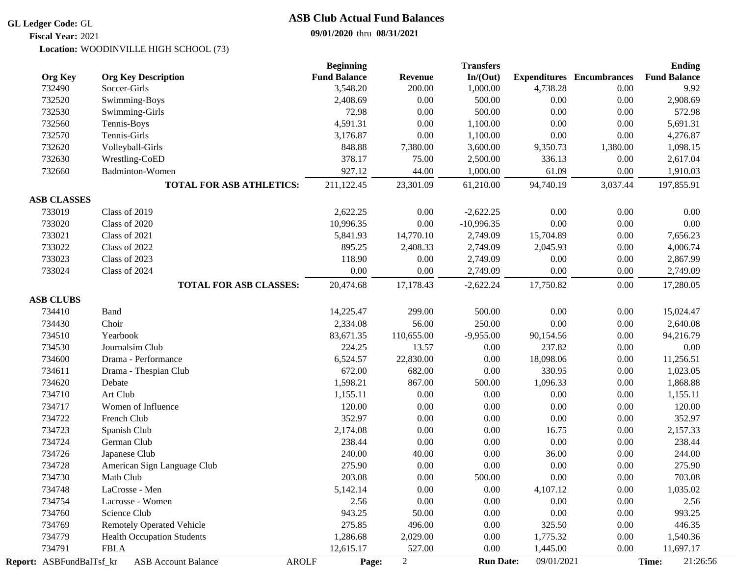#### **GL Ledger Code:** GL

# **ASB Club Actual Fund Balances**

## **09/01/2020** thru **08/31/2021**

WOODINVILLE HIGH SCHOOL (73) **Location: Fiscal Year:** 2021

|                          |                                   | <b>Beginning</b>      |                | <b>Transfers</b> |            |                                  | <b>Ending</b>       |
|--------------------------|-----------------------------------|-----------------------|----------------|------------------|------------|----------------------------------|---------------------|
| <b>Org Key</b>           | <b>Org Key Description</b>        | <b>Fund Balance</b>   | <b>Revenue</b> | In/(Out)         |            | <b>Expenditures</b> Encumbrances | <b>Fund Balance</b> |
| 732490                   | Soccer-Girls                      | 3,548.20              | 200.00         | 1,000.00         | 4,738.28   | 0.00                             | 9.92                |
| 732520                   | Swimming-Boys                     | 2,408.69              | 0.00           | 500.00           | 0.00       | $0.00\,$                         | 2,908.69            |
| 732530                   | Swimming-Girls                    | 72.98                 | $0.00\,$       | 500.00           | $0.00\,$   | 0.00                             | 572.98              |
| 732560                   | Tennis-Boys                       | 4,591.31              | $0.00\,$       | 1,100.00         | 0.00       | $0.00\,$                         | 5,691.31            |
| 732570                   | Tennis-Girls                      | 3,176.87              | 0.00           | 1,100.00         | 0.00       | $0.00\,$                         | 4,276.87            |
| 732620                   | Volleyball-Girls                  | 848.88                | 7,380.00       | 3,600.00         | 9,350.73   | 1,380.00                         | 1,098.15            |
| 732630                   | Wrestling-CoED                    | 378.17                | 75.00          | 2,500.00         | 336.13     | 0.00                             | 2,617.04            |
| 732660                   | Badminton-Women                   | 927.12                | 44.00          | 1,000.00         | 61.09      | 0.00                             | 1,910.03            |
|                          | <b>TOTAL FOR ASB ATHLETICS:</b>   | 211,122.45            | 23,301.09      | 61,210.00        | 94,740.19  | 3,037.44                         | 197,855.91          |
| <b>ASB CLASSES</b>       |                                   |                       |                |                  |            |                                  |                     |
| 733019                   | Class of 2019                     | 2,622.25              | 0.00           | $-2,622.25$      | 0.00       | $0.00\,$                         | 0.00                |
| 733020                   | Class of 2020                     | 10,996.35             | 0.00           | $-10,996.35$     | 0.00       | $0.00\,$                         | 0.00                |
| 733021                   | Class of 2021                     | 5,841.93              | 14,770.10      | 2,749.09         | 15,704.89  | 0.00                             | 7,656.23            |
| 733022                   | Class of 2022                     | 895.25                | 2,408.33       | 2,749.09         | 2,045.93   | $0.00\,$                         | 4,006.74            |
| 733023                   | Class of 2023                     | 118.90                | 0.00           | 2,749.09         | 0.00       | 0.00                             | 2,867.99            |
| 733024                   | Class of 2024                     | 0.00                  | 0.00           | 2,749.09         | 0.00       | 0.00                             | 2,749.09            |
|                          | <b>TOTAL FOR ASB CLASSES:</b>     | 20,474.68             | 17,178.43      | $-2,622.24$      | 17,750.82  | 0.00                             | 17,280.05           |
|                          |                                   |                       |                |                  |            |                                  |                     |
| <b>ASB CLUBS</b>         |                                   |                       |                |                  |            |                                  |                     |
| 734410                   | Band                              | 14,225.47             | 299.00         | 500.00           | 0.00       | $0.00\,$                         | 15,024.47           |
| 734430                   | Choir                             | 2,334.08              | 56.00          | 250.00           | 0.00       | 0.00                             | 2,640.08            |
| 734510                   | Yearbook                          | 83,671.35             | 110,655.00     | $-9,955.00$      | 90,154.56  | 0.00                             | 94,216.79           |
| 734530                   | Journalsim Club                   | 224.25                | 13.57          | 0.00             | 237.82     | $0.00\,$                         | 0.00                |
| 734600                   | Drama - Performance               | 6,524.57              | 22,830.00      | 0.00             | 18,098.06  | 0.00                             | 11,256.51           |
| 734611                   | Drama - Thespian Club             | 672.00                | 682.00         | 0.00             | 330.95     | 0.00                             | 1,023.05            |
| 734620                   | Debate                            | 1,598.21              | 867.00         | 500.00           | 1,096.33   | $0.00\,$                         | 1,868.88            |
| 734710                   | Art Club                          | 1,155.11              | 0.00           | $0.00\,$         | 0.00       | $0.00\,$                         | 1,155.11            |
| 734717                   | Women of Influence                | 120.00                | 0.00           | $0.00\,$         | $0.00\,$   | $0.00\,$                         | 120.00              |
| 734722                   | French Club                       | 352.97                | 0.00           | 0.00             | $0.00\,$   | 0.00                             | 352.97              |
| 734723                   | Spanish Club                      | 2,174.08              | 0.00           | 0.00             | 16.75      | 0.00                             | 2,157.33            |
| 734724                   | German Club                       | 238.44                | 0.00           | 0.00             | 0.00       | 0.00                             | 238.44              |
| 734726                   | Japanese Club                     | 240.00                | 40.00          | $0.00\,$         | 36.00      | 0.00                             | 244.00              |
| 734728                   | American Sign Language Club       | 275.90                | 0.00           | 0.00             | 0.00       | 0.00                             | 275.90              |
| 734730                   | Math Club                         | 203.08                | 0.00           | 500.00           | 0.00       | 0.00                             | 703.08              |
| 734748                   | LaCrosse - Men                    | 5,142.14              | 0.00           | 0.00             | 4,107.12   | 0.00                             | 1,035.02            |
| 734754                   | Lacrosse - Women                  | 2.56                  | $0.00\,$       | 0.00             | 0.00       | 0.00                             | 2.56                |
| 734760                   | Science Club                      | 943.25                | 50.00          | 0.00             | $0.00\,$   | $0.00\,$                         | 993.25              |
| 734769                   | <b>Remotely Operated Vehicle</b>  | 275.85                | 496.00         | 0.00             | 325.50     | 0.00                             | 446.35              |
| 734779                   | <b>Health Occupation Students</b> | 1,286.68              | 2,029.00       | 0.00             | 1,775.32   | 0.00                             | 1,540.36            |
| 734791                   | <b>FBLA</b>                       | 12,615.17             | 527.00         | 0.00             | 1,445.00   | 0.00                             | 11,697.17           |
| Report: ASBFundBalTsf_kr | <b>ASB Account Balance</b>        | <b>AROLF</b><br>Page: | $\overline{2}$ | <b>Run Date:</b> | 09/01/2021 |                                  | 21:26:56<br>Time:   |